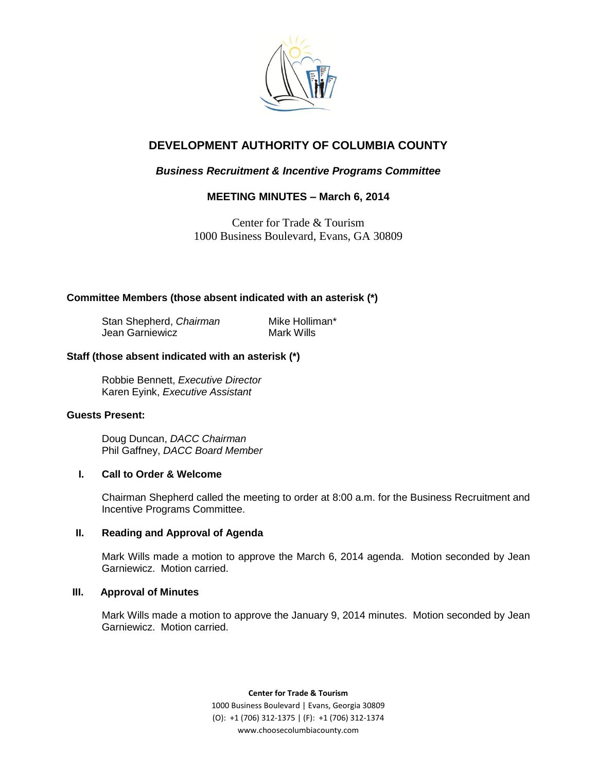

# **DEVELOPMENT AUTHORITY OF COLUMBIA COUNTY**

# *Business Recruitment & Incentive Programs Committee*

# **MEETING MINUTES – March 6, 2014**

Center for Trade & Tourism 1000 Business Boulevard, Evans, GA 30809

### **Committee Members (those absent indicated with an asterisk (\*)**

Stan Shepherd, *Chairman* Mike Holliman\* Jean Garniewicz Mark Wills

#### **Staff (those absent indicated with an asterisk (\*)**

Robbie Bennett, *Executive Director* Karen Eyink, *Executive Assistant*

#### **Guests Present:**

Doug Duncan, *DACC Chairman* Phil Gaffney, *DACC Board Member* 

#### **I. Call to Order & Welcome**

Chairman Shepherd called the meeting to order at 8:00 a.m. for the Business Recruitment and Incentive Programs Committee.

#### **II. Reading and Approval of Agenda**

Mark Wills made a motion to approve the March 6, 2014 agenda. Motion seconded by Jean Garniewicz. Motion carried.

#### **III. Approval of Minutes**

Mark Wills made a motion to approve the January 9, 2014 minutes. Motion seconded by Jean Garniewicz. Motion carried.

**Center for Trade & Tourism**

1000 Business Boulevard | Evans, Georgia 30809 (O): +1 (706) 312-1375 | (F): +1 (706) 312-1374 www.choosecolumbiacounty.com